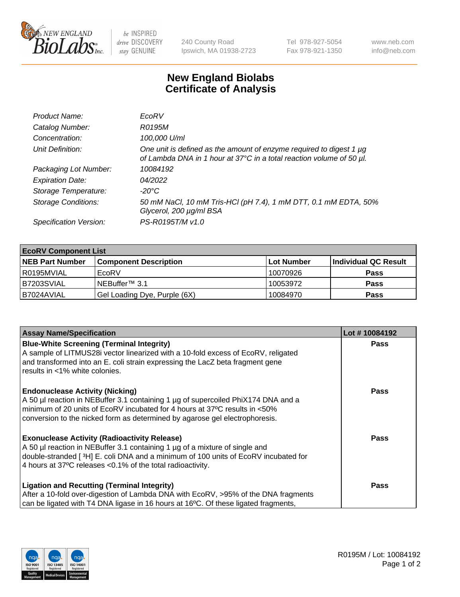

be INSPIRED drive DISCOVERY stay GENUINE

240 County Road Ipswich, MA 01938-2723 Tel 978-927-5054 Fax 978-921-1350 www.neb.com info@neb.com

## **New England Biolabs Certificate of Analysis**

| Product Name:              | EcoRV                                                                                                                                       |
|----------------------------|---------------------------------------------------------------------------------------------------------------------------------------------|
| Catalog Number:            | R0195M                                                                                                                                      |
| Concentration:             | 100,000 U/ml                                                                                                                                |
| Unit Definition:           | One unit is defined as the amount of enzyme required to digest 1 µg<br>of Lambda DNA in 1 hour at 37°C in a total reaction volume of 50 µl. |
| Packaging Lot Number:      | 10084192                                                                                                                                    |
| <b>Expiration Date:</b>    | 04/2022                                                                                                                                     |
| Storage Temperature:       | -20°C                                                                                                                                       |
| <b>Storage Conditions:</b> | 50 mM NaCl, 10 mM Tris-HCl (pH 7.4), 1 mM DTT, 0.1 mM EDTA, 50%<br>Glycerol, 200 µg/ml BSA                                                  |
| Specification Version:     | PS-R0195T/M v1.0                                                                                                                            |

| <b>EcoRV Component List</b> |                              |            |                      |  |  |
|-----------------------------|------------------------------|------------|----------------------|--|--|
| <b>NEB Part Number</b>      | <b>Component Description</b> | Lot Number | Individual QC Result |  |  |
| l R0195MVIAL                | EcoRV                        | 10070926   | <b>Pass</b>          |  |  |
| B7203SVIAL                  | INEBuffer™ 3.1               | 10053972   | <b>Pass</b>          |  |  |
| IB7024AVIAL                 | Gel Loading Dye, Purple (6X) | 10084970   | <b>Pass</b>          |  |  |

| <b>Assay Name/Specification</b>                                                                                                                                 | Lot #10084192 |
|-----------------------------------------------------------------------------------------------------------------------------------------------------------------|---------------|
| <b>Blue-White Screening (Terminal Integrity)</b><br>A sample of LITMUS28i vector linearized with a 10-fold excess of EcoRV, religated                           | <b>Pass</b>   |
| and transformed into an E. coli strain expressing the LacZ beta fragment gene<br>results in <1% white colonies.                                                 |               |
| <b>Endonuclease Activity (Nicking)</b>                                                                                                                          | Pass          |
| A 50 µl reaction in NEBuffer 3.1 containing 1 µg of supercoiled PhiX174 DNA and a<br>minimum of 20 units of EcoRV incubated for 4 hours at 37°C results in <50% |               |
| conversion to the nicked form as determined by agarose gel electrophoresis.                                                                                     |               |
| <b>Exonuclease Activity (Radioactivity Release)</b>                                                                                                             | Pass          |
| A 50 µl reaction in NEBuffer 3.1 containing 1 µg of a mixture of single and                                                                                     |               |
| double-stranded [ <sup>3</sup> H] E. coli DNA and a minimum of 100 units of EcoRV incubated for<br>4 hours at 37°C releases < 0.1% of the total radioactivity.  |               |
| <b>Ligation and Recutting (Terminal Integrity)</b>                                                                                                              | <b>Pass</b>   |
| After a 10-fold over-digestion of Lambda DNA with EcoRV, >95% of the DNA fragments                                                                              |               |
| can be ligated with T4 DNA ligase in 16 hours at 16 $\degree$ C. Of these ligated fragments,                                                                    |               |